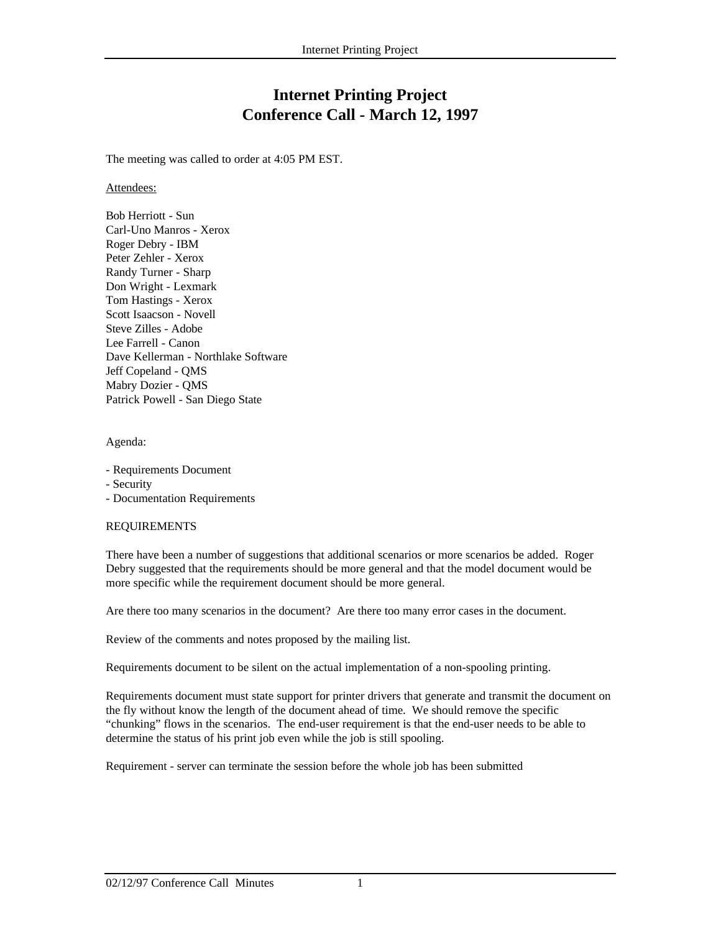# **Internet Printing Project Conference Call - March 12, 1997**

The meeting was called to order at 4:05 PM EST.

Attendees:

Bob Herriott - Sun Carl-Uno Manros - Xerox Roger Debry - IBM Peter Zehler - Xerox Randy Turner - Sharp Don Wright - Lexmark Tom Hastings - Xerox Scott Isaacson - Novell Steve Zilles - Adobe Lee Farrell - Canon Dave Kellerman - Northlake Software Jeff Copeland - QMS Mabry Dozier - QMS Patrick Powell - San Diego State

Agenda:

- Requirements Document
- Security
- Documentation Requirements

# REQUIREMENTS

There have been a number of suggestions that additional scenarios or more scenarios be added. Roger Debry suggested that the requirements should be more general and that the model document would be more specific while the requirement document should be more general.

Are there too many scenarios in the document? Are there too many error cases in the document.

Review of the comments and notes proposed by the mailing list.

Requirements document to be silent on the actual implementation of a non-spooling printing.

Requirements document must state support for printer drivers that generate and transmit the document on the fly without know the length of the document ahead of time. We should remove the specific "chunking" flows in the scenarios. The end-user requirement is that the end-user needs to be able to determine the status of his print job even while the job is still spooling.

Requirement - server can terminate the session before the whole job has been submitted